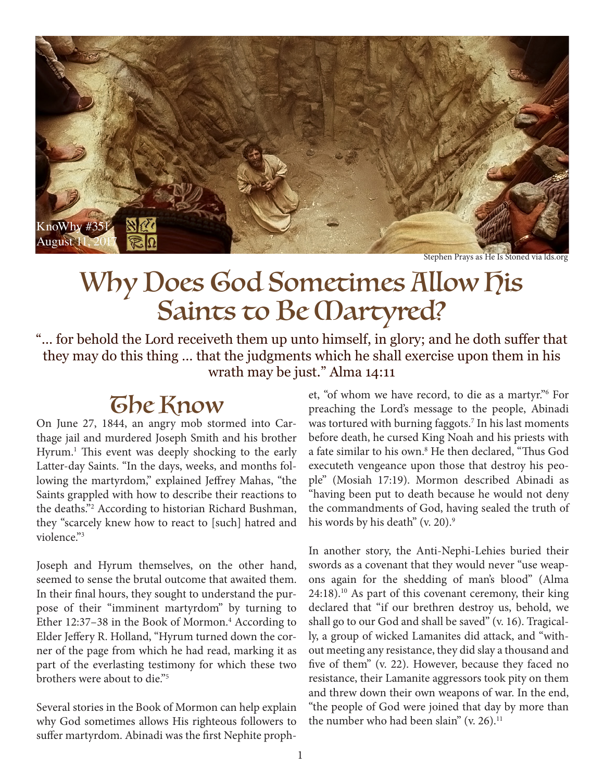

Stephen Prays as He Is Stoned via lds.org

## Why Does God Sometimes Allow his Saints to Be *(Dartyred?*

"… for behold the Lord receiveth them up unto himself, in glory; and he doth suffer that they may do this thing … that the judgments which he shall exercise upon them in his wrath may be just." Alma 14:11

### **The Know**

On June 27, 1844, an angry mob stormed into Carthage jail and murdered Joseph Smith and his brother Hyrum.<sup>1</sup> This event was deeply shocking to the early Latter-day Saints. "In the days, weeks, and months following the martyrdom," explained Jeffrey Mahas, "the Saints grappled with how to describe their reactions to the deaths."2 According to historian Richard Bushman, they "scarcely knew how to react to [such] hatred and violence."3

Joseph and Hyrum themselves, on the other hand, seemed to sense the brutal outcome that awaited them. In their final hours, they sought to understand the purpose of their "imminent martyrdom" by turning to Ether 12:37-38 in the Book of Mormon.<sup>4</sup> According to Elder Jeffery R. Holland, "Hyrum turned down the corner of the page from which he had read, marking it as part of the everlasting testimony for which these two brothers were about to die."5

Several stories in the Book of Mormon can help explain why God sometimes allows His righteous followers to suffer martyrdom. Abinadi was the first Nephite proph-

et, "of whom we have record, to die as a martyr."6 For preaching the Lord's message to the people, Abinadi was tortured with burning faggots.7 In his last moments before death, he cursed King Noah and his priests with a fate similar to his own.8 He then declared, "Thus God executeth vengeance upon those that destroy his people" (Mosiah 17:19). Mormon described Abinadi as "having been put to death because he would not deny the commandments of God, having sealed the truth of his words by his death" (v. 20).<sup>9</sup>

In another story, the Anti-Nephi-Lehies buried their swords as a covenant that they would never "use weapons again for the shedding of man's blood" (Alma  $24:18$ .<sup>10</sup> As part of this covenant ceremony, their king declared that "if our brethren destroy us, behold, we shall go to our God and shall be saved" (v. 16). Tragically, a group of wicked Lamanites did attack, and "without meeting any resistance, they did slay a thousand and five of them" (v. 22). However, because they faced no resistance, their Lamanite aggressors took pity on them and threw down their own weapons of war. In the end, "the people of God were joined that day by more than the number who had been slain"  $(v. 26)$ .<sup>11</sup>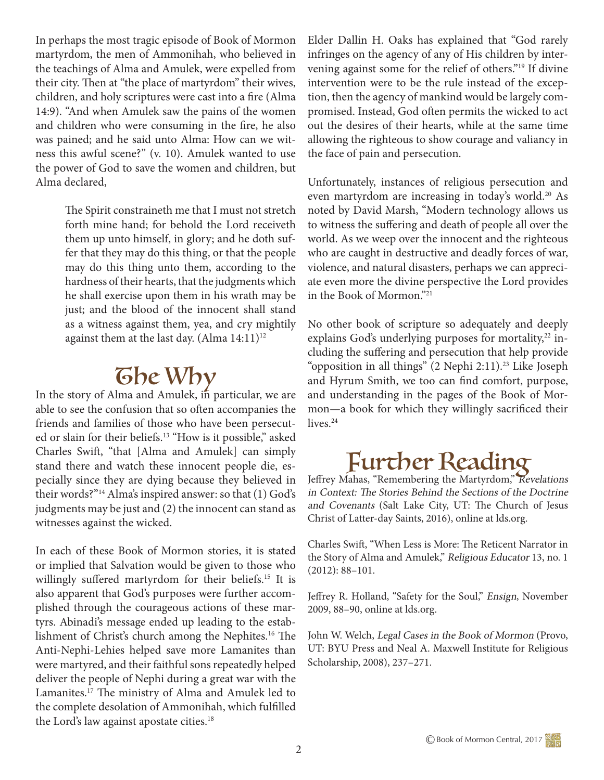In perhaps the most tragic episode of Book of Mormon martyrdom, the men of Ammonihah, who believed in the teachings of Alma and Amulek, were expelled from their city. Then at "the place of martyrdom" their wives, children, and holy scriptures were cast into a fire (Alma 14:9). "And when Amulek saw the pains of the women and children who were consuming in the fire, he also was pained; and he said unto Alma: How can we witness this awful scene?" (v. 10). Amulek wanted to use the power of God to save the women and children, but Alma declared,

> The Spirit constraineth me that I must not stretch forth mine hand; for behold the Lord receiveth them up unto himself, in glory; and he doth suffer that they may do this thing, or that the people may do this thing unto them, according to the hardness of their hearts, that the judgments which he shall exercise upon them in his wrath may be just; and the blood of the innocent shall stand as a witness against them, yea, and cry mightily against them at the last day.  $(A \text{lm} a 14:11)^{12}$

 $\overline{G}$   $\overline{D}$   $e$   $W$   $\overline{D}$  $y$  In the story of Alma and Amulek, in particular, we are able to see the confusion that so often accompanies the friends and families of those who have been persecuted or slain for their beliefs.<sup>13</sup> "How is it possible," asked Charles Swift, "that [Alma and Amulek] can simply stand there and watch these innocent people die, especially since they are dying because they believed in their words?"14 Alma's inspired answer: so that (1) God's judgments may be just and (2) the innocent can stand as witnesses against the wicked.

In each of these Book of Mormon stories, it is stated or implied that Salvation would be given to those who willingly suffered martyrdom for their beliefs.<sup>15</sup> It is also apparent that God's purposes were further accomplished through the courageous actions of these martyrs. Abinadi's message ended up leading to the establishment of Christ's church among the Nephites.16 The Anti-Nephi-Lehies helped save more Lamanites than were martyred, and their faithful sons repeatedly helped deliver the people of Nephi during a great war with the Lamanites.17 The ministry of Alma and Amulek led to the complete desolation of Ammonihah, which fulfilled the Lord's law against apostate cities.<sup>18</sup>

Elder Dallin H. Oaks has explained that "God rarely infringes on the agency of any of His children by intervening against some for the relief of others."19 If divine intervention were to be the rule instead of the exception, then the agency of mankind would be largely compromised. Instead, God often permits the wicked to act out the desires of their hearts, while at the same time allowing the righteous to show courage and valiancy in the face of pain and persecution.

Unfortunately, instances of religious persecution and even martyrdom are increasing in today's world.<sup>20</sup> As noted by David Marsh, "Modern technology allows us to witness the suffering and death of people all over the world. As we weep over the innocent and the righteous who are caught in destructive and deadly forces of war, violence, and natural disasters, perhaps we can appreciate even more the divine perspective the Lord provides in the Book of Mormon."21

No other book of scripture so adequately and deeply explains God's underlying purposes for mortality,<sup>22</sup> including the suffering and persecution that help provide "opposition in all things" (2 Nephi 2:11).<sup>23</sup> Like Joseph and Hyrum Smith, we too can find comfort, purpose, and understanding in the pages of the Book of Mormon—a book for which they willingly sacrificed their lives.<sup>24</sup>

# Further Reading Jeffrey Mahas, "Remembering the Martyrdom," Revelations

in Context: The Stories Behind the Sections of the Doctrine and Covenants (Salt Lake City, UT: The Church of Jesus Christ of Latter-day Saints, 2016), online at lds.org.

Charles Swift, "When Less is More: The Reticent Narrator in the Story of Alma and Amulek," Religious Educator 13, no. 1 (2012): 88–101.

Jeffrey R. Holland, "Safety for the Soul," Ensign, November 2009, 88–90, online at lds.org.

John W. Welch, Legal Cases in the Book of Mormon (Provo, UT: BYU Press and Neal A. Maxwell Institute for Religious Scholarship, 2008), 237–271.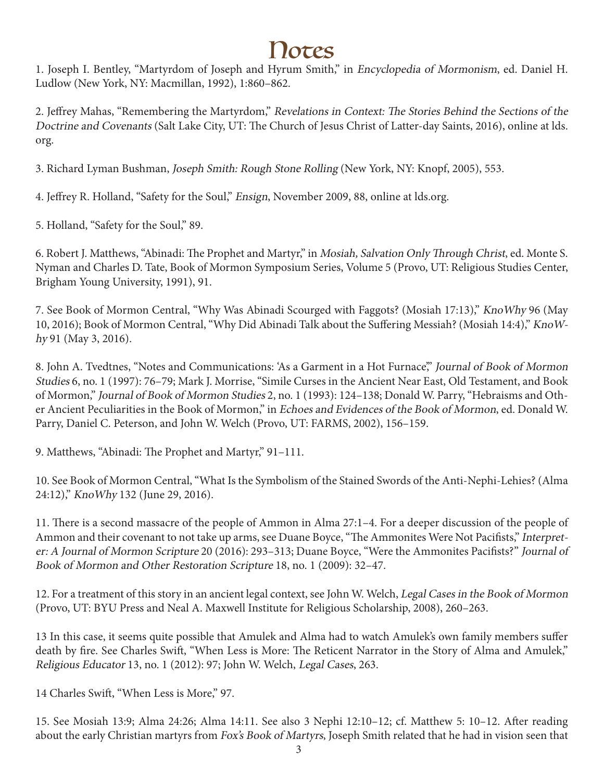## Notes

1. Joseph I. Bentley, "Martyrdom of Joseph and Hyrum Smith," in Encyclopedia of Mormonism, ed. Daniel H. Ludlow (New York, NY: Macmillan, 1992), 1:860–862.

2. Jeffrey Mahas, "Remembering the Martyrdom," Revelations in Context: The Stories Behind the Sections of the Doctrine and Covenants (Salt Lake City, UT: The Church of Jesus Christ of Latter-day Saints, 2016), online at lds. org.

3. Richard Lyman Bushman, Joseph Smith: Rough Stone Rolling (New York, NY: Knopf, 2005), 553.

4. Jeffrey R. Holland, "Safety for the Soul," Ensign, November 2009, 88, online at lds.org.

5. Holland, "Safety for the Soul," 89.

6. Robert J. Matthews, "Abinadi: The Prophet and Martyr," in Mosiah, Salvation Only Through Christ, ed. Monte S. Nyman and Charles D. Tate, Book of Mormon Symposium Series, Volume 5 (Provo, UT: Religious Studies Center, Brigham Young University, 1991), 91.

7. See Book of Mormon Central, "Why Was Abinadi Scourged with Faggots? (Mosiah 17:13)," KnoWhy 96 (May 10, 2016); Book of Mormon Central, "Why Did Abinadi Talk about the Suffering Messiah? (Mosiah 14:4)," KnoWhy 91 (May 3, 2016).

8. John A. Tvedtnes, "Notes and Communications: 'As a Garment in a Hot Furnace," Journal of Book of Mormon Studies 6, no. 1 (1997): 76–79; Mark J. Morrise, "Simile Curses in the Ancient Near East, Old Testament, and Book of Mormon," Journal of Book of Mormon Studies 2, no. 1 (1993): 124–138; Donald W. Parry, "Hebraisms and Other Ancient Peculiarities in the Book of Mormon," in Echoes and Evidences of the Book of Mormon, ed. Donald W. Parry, Daniel C. Peterson, and John W. Welch (Provo, UT: FARMS, 2002), 156–159.

9. Matthews, "Abinadi: The Prophet and Martyr," 91–111.

10. See Book of Mormon Central, "What Is the Symbolism of the Stained Swords of the Anti-Nephi-Lehies? (Alma 24:12)," KnoWhy 132 (June 29, 2016).

11. There is a second massacre of the people of Ammon in Alma 27:1–4. For a deeper discussion of the people of Ammon and their covenant to not take up arms, see Duane Boyce, "The Ammonites Were Not Pacifists," Interpreter: A Journal of Mormon Scripture 20 (2016): 293–313; Duane Boyce, "Were the Ammonites Pacifists?" Journal of Book of Mormon and Other Restoration Scripture 18, no. 1 (2009): 32–47.

12. For a treatment of this story in an ancient legal context, see John W. Welch, Legal Cases in the Book of Mormon (Provo, UT: BYU Press and Neal A. Maxwell Institute for Religious Scholarship, 2008), 260–263.

13 In this case, it seems quite possible that Amulek and Alma had to watch Amulek's own family members suffer death by fire. See Charles Swift, "When Less is More: The Reticent Narrator in the Story of Alma and Amulek," Religious Educator 13, no. 1 (2012): 97; John W. Welch, Legal Cases, 263.

14 Charles Swift, "When Less is More," 97.

15. See Mosiah 13:9; Alma 24:26; Alma 14:11. See also 3 Nephi 12:10–12; cf. Matthew 5: 10–12. After reading about the early Christian martyrs from Fox's Book of Martyrs, Joseph Smith related that he had in vision seen that